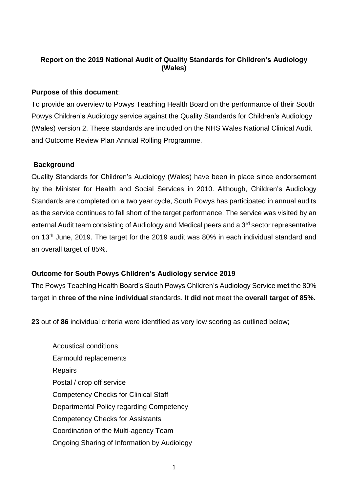# **Report on the 2019 National Audit of Quality Standards for Children's Audiology (Wales)**

### **Purpose of this document**:

To provide an overview to Powys Teaching Health Board on the performance of their South Powys Children's Audiology service against the Quality Standards for Children's Audiology (Wales) version 2. These standards are included on the NHS Wales National Clinical Audit and Outcome Review Plan Annual Rolling Programme.

#### **Background**

Quality Standards for Children's Audiology (Wales) have been in place since endorsement by the Minister for Health and Social Services in 2010. Although, Children's Audiology Standards are completed on a two year cycle, South Powys has participated in annual audits as the service continues to fall short of the target performance. The service was visited by an external Audit team consisting of Audiology and Medical peers and a 3<sup>rd</sup> sector representative on 13<sup>th</sup> June, 2019. The target for the 2019 audit was 80% in each individual standard and an overall target of 85%.

## **Outcome for South Powys Children's Audiology service 2019**

The Powys Teaching Health Board's South Powys Children's Audiology Service **met** the 80% target in **three of the nine individual** standards. It **did not** meet the **overall target of 85%.** 

**23** out of **86** individual criteria were identified as very low scoring as outlined below;

Acoustical conditions Earmould replacements **Repairs** Postal / drop off service Competency Checks for Clinical Staff Departmental Policy regarding Competency Competency Checks for Assistants Coordination of the Multi-agency Team Ongoing Sharing of Information by Audiology